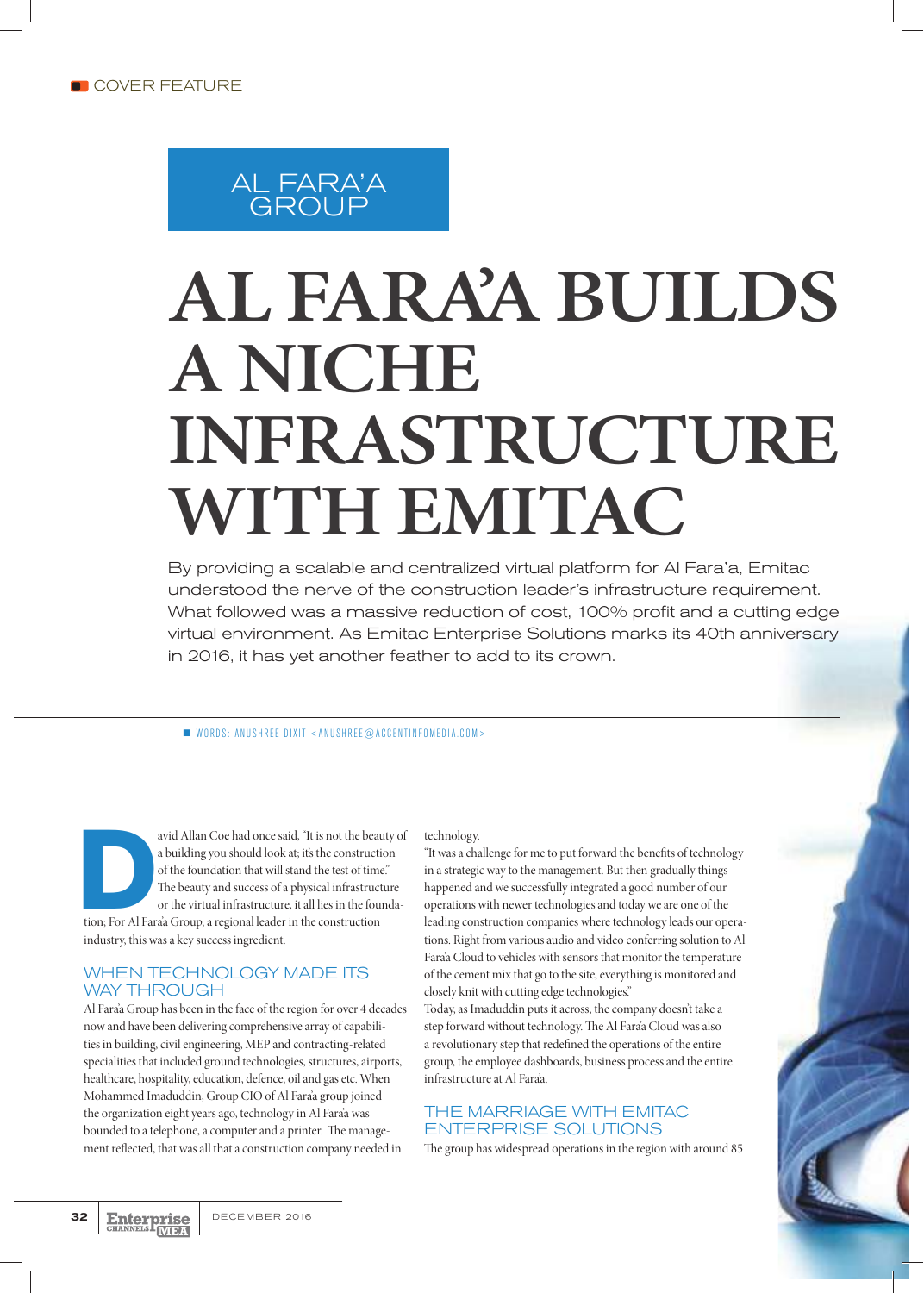### AL FARA'A GROUP

# **AL FARA'A BUILDS A NICHE INFRASTRUCTURE WITH EMITAC**

By providing a scalable and centralized virtual platform for Al Fara'a, Emitac understood the nerve of the construction leader's infrastructure requirement. What followed was a massive reduction of cost, 100% profit and a cutting edge virtual environment. As Emitac Enterprise Solutions marks its 40th anniversary in 2016, it has yet another feather to add to its crown.

 $\blacksquare$  WORDS: ANUSHREE DIXIT <ANUSHREE@ACCENTINFOMEDIA.COM>

avid Allan Coe had once said, "It is not the beauty of<br>a building you should look at; it's the construction<br>of the foundation that will stand the test of time."<br>The beauty and success of a physical infrastructure<br>or the vi a building you should look at; it's the construction of the foundation that will stand the test of time." The beauty and success of a physical infrastructure or the virtual infrastructure, it all lies in the foundaindustry, this was a key success ingredient.

#### WHEN TECHNOLOGY MADE ITS WAY THROUGH

Al Fara'a Group has been in the face of the region for over 4 decades now and have been delivering comprehensive array of capabilities in building, civil engineering, MEP and contracting-related specialities that included ground technologies, structures, airports, healthcare, hospitality, education, defence, oil and gas etc. When Mohammed Imaduddin, Group CIO of Al Fara'a group joined the organization eight years ago, technology in Al Fara'a was bounded to a telephone, a computer and a printer. The management reflected, that was all that a construction company needed in

#### technology.

"It was a challenge for me to put forward the benefits of technology in a strategic way to the management. But then gradually things happened and we successfully integrated a good number of our operations with newer technologies and today we are one of the leading construction companies where technology leads our operations. Right from various audio and video conferring solution to Al Fara'a Cloud to vehicles with sensors that monitor the temperature of the cement mix that go to the site, everything is monitored and closely knit with cutting edge technologies."

Today, as Imaduddin puts it across, the company doesn't take a step forward without technology. The Al Fara'a Cloud was also a revolutionary step that redefined the operations of the entire group, the employee dashboards, business process and the entire infrastructure at Al Fara'a.

#### THE MARRIAGE WITH EMITAC ENTERPRISE SOLUTIONS

The group has widespread operations in the region with around 85

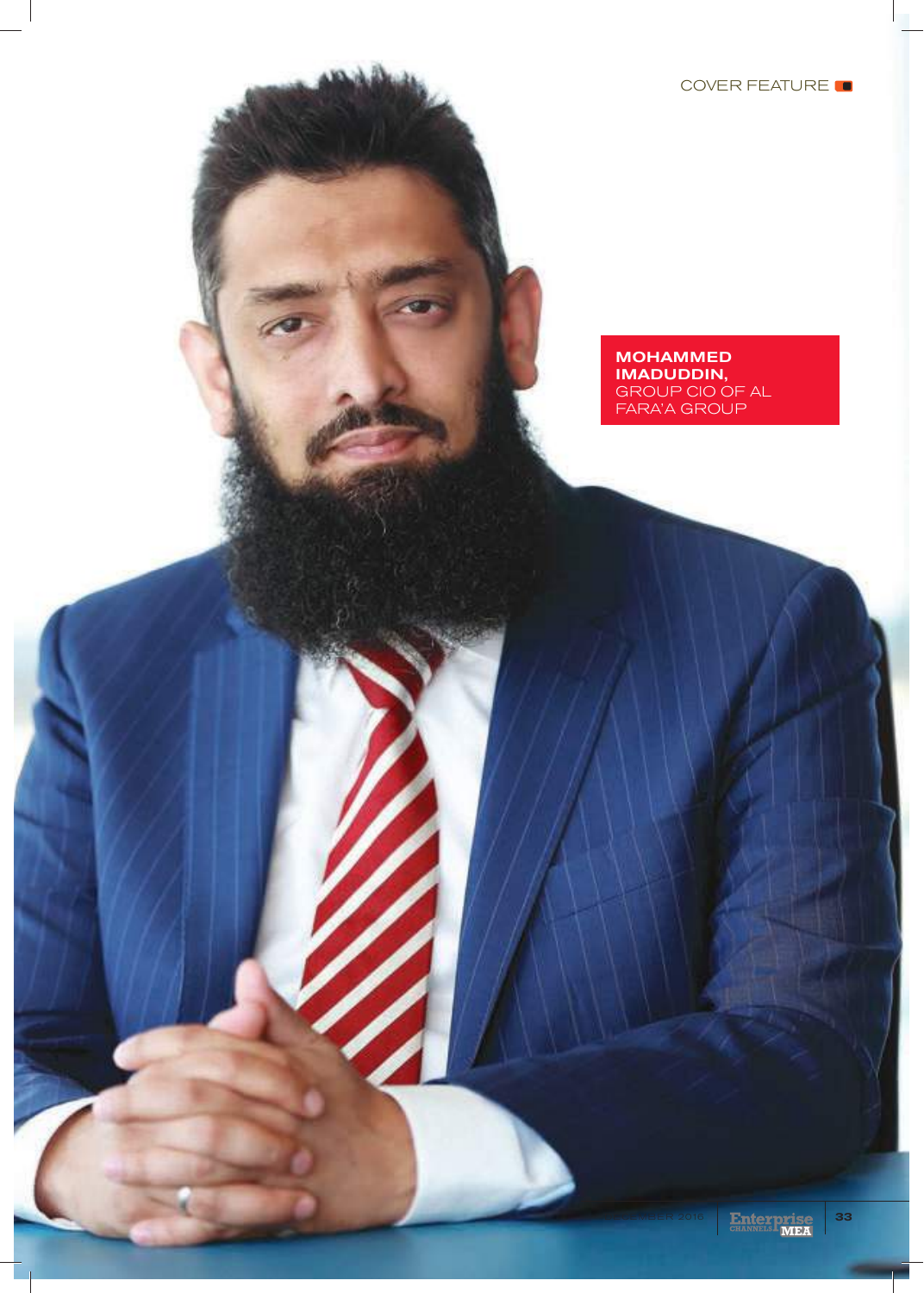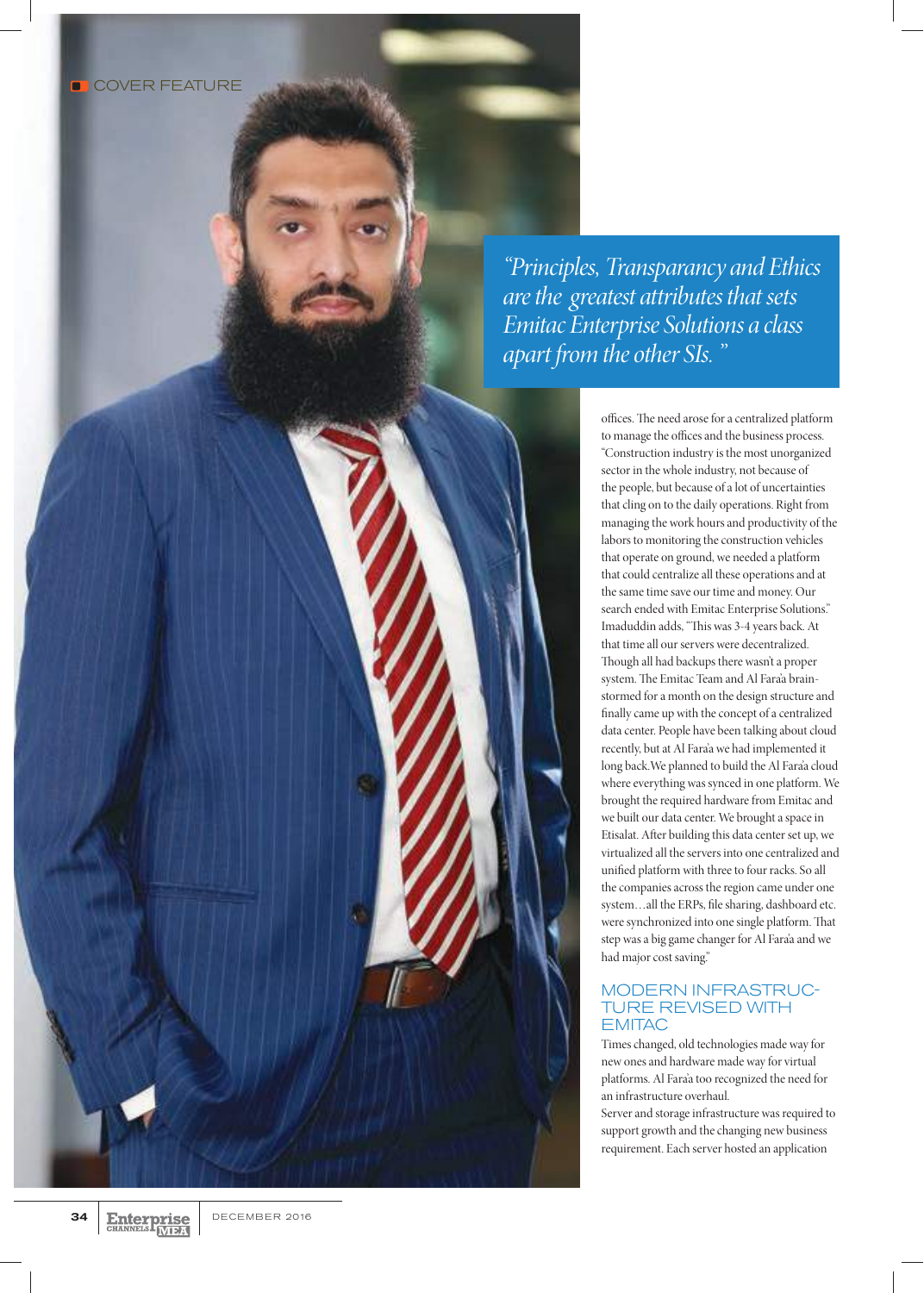*"Principles, Transparancy and Ethics are the greatest attributes that sets Emitac Enterprise Solutions a class apart from the other SIs. "*

> offices. The need arose for a centralized platform to manage the offices and the business process. "Construction industry is the most unorganized sector in the whole industry, not because of the people, but because of a lot of uncertainties that cling on to the daily operations. Right from managing the work hours and productivity of the labors to monitoring the construction vehicles that operate on ground, we needed a platform that could centralize all these operations and at the same time save our time and money. Our search ended with Emitac Enterprise Solutions." Imaduddin adds, "This was 3-4 years back. At that time all our servers were decentralized. Though all had backups there wasn't a proper system. The Emitac Team and Al Fara'a brainstormed for a month on the design structure and finally came up with the concept of a centralized data center. People have been talking about cloud recently, but at Al Fara'a we had implemented it long back.We planned to build the Al Fara'a cloud where everything was synced in one platform. We brought the required hardware from Emitac and we built our data center. We brought a space in Etisalat. After building this data center set up, we virtualized all the servers into one centralized and unified platform with three to four racks. So all the companies across the region came under one system…all the ERPs, file sharing, dashboard etc. were synchronized into one single platform. That step was a big game changer for Al Fara'a and we had major cost saving."

#### MODERN INFRASTRUC-TURE REVISED WITH **EMITAC**

Times changed, old technologies made way for new ones and hardware made way for virtual platforms. Al Fara'a too recognized the need for an infrastructure overhaul.

Server and storage infrastructure was required to support growth and the changing new business requirement. Each server hosted an application

**MEA**